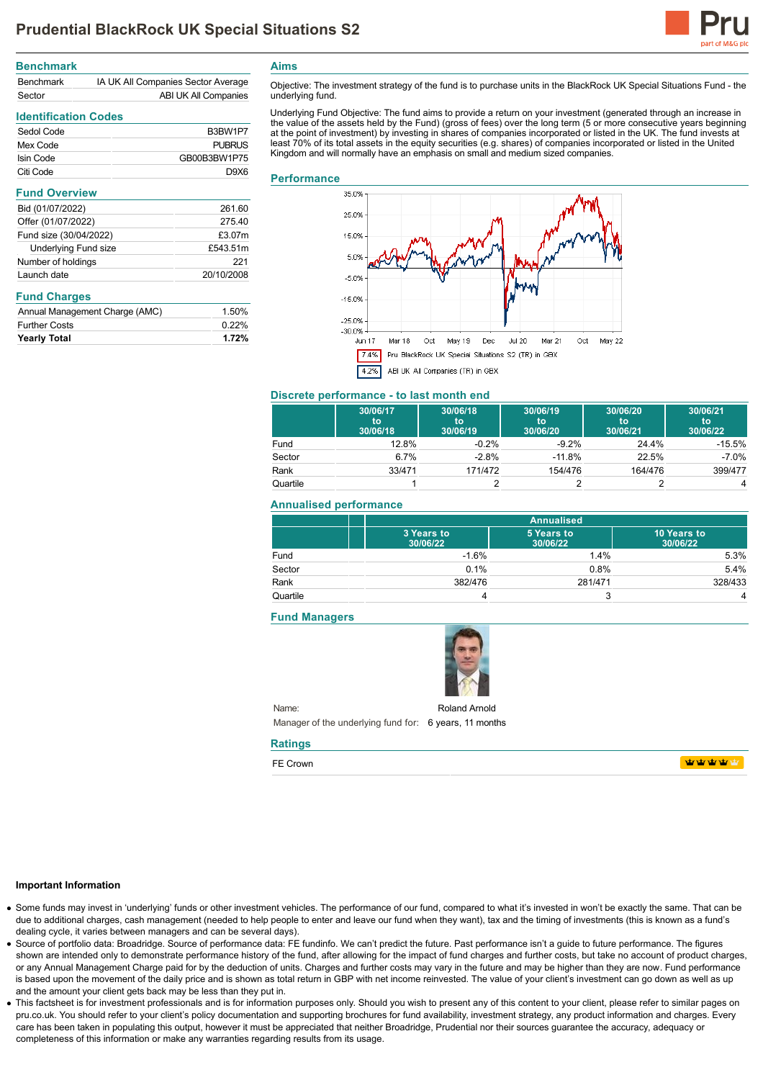

| <b>Benchmark</b> |                                    |
|------------------|------------------------------------|
| <b>Benchmark</b> | IA UK All Companies Sector Average |
| Sector           | ABI UK All Companies               |

# **Identification Codes**

| Sedol Code | B <sub>3</sub> BW <sub>1</sub> P <sub>7</sub> |
|------------|-----------------------------------------------|
| Mex Code   | <b>PUBRUS</b>                                 |
| Isin Code  | GB00B3BW1P75                                  |
| Citi Code  | <b>DAX6</b>                                   |

#### **Fund Overview**

| Bid (01/07/2022)            | 261.60     |
|-----------------------------|------------|
| Offer (01/07/2022)          | 275.40     |
| Fund size (30/04/2022)      | £3.07m     |
| <b>Underlying Fund size</b> | £543.51m   |
| Number of holdings          | 221        |
| Launch date                 | 20/10/2008 |
|                             |            |

### **Fund Charges**

| Annual Management Charge (AMC) | 1.50% |
|--------------------------------|-------|
| <b>Further Costs</b>           | 0.22% |
| <b>Yearly Total</b>            | 1.72% |

**Aims**

Objective: The investment strategy of the fund is to purchase units in the BlackRock UK Special Situations Fund - the underlying fund.

Underlying Fund Objective: The fund aims to provide a return on your investment (generated through an increase in the value of the assets held by the Fund) (gross of fees) over the long term (5 or more consecutive years beginning at the point of investment) by investing in shares of companies incorporated or listed in the UK. The fund invests at least 70% of its total assets in the equity securities (e.g. shares) of companies incorporated or listed in the United Kingdom and will normally have an emphasis on small and medium sized companies.

### **Performance**



#### **Discrete performance - to last month end**

|          | 30/06/17<br>to<br>30/06/18 | 30/06/18<br>to<br>30/06/19 | 30/06/19<br>to<br>30/06/20 | 30/06/20<br>to<br>30/06/21 | 30/06/21<br>to<br>30/06/22 |
|----------|----------------------------|----------------------------|----------------------------|----------------------------|----------------------------|
| Fund     | 12.8%                      | $-0.2%$                    | $-9.2%$                    | 24.4%                      | $-15.5%$                   |
| Sector   | 6.7%                       | $-2.8%$                    | $-11.8%$                   | 22.5%                      | $-7.0\%$                   |
| Rank     | 33/471                     | 171/472                    | 154/476                    | 164/476                    | 399/477                    |
| Quartile |                            |                            |                            |                            | 4                          |

## **Annualised performance**

|          | <b>Annualised</b>      |                        |                         |
|----------|------------------------|------------------------|-------------------------|
|          | 3 Years to<br>30/06/22 | 5 Years to<br>30/06/22 | 10 Years to<br>30/06/22 |
| Fund     | $-1.6%$                | 1.4%                   | 5.3%                    |
| Sector   | 0.1%                   | 0.8%                   | 5.4%                    |
| Rank     | 382/476                | 281/471                | 328/433                 |
| Quartile |                        |                        | 4                       |

### **Fund Managers**



Name: Manager of the underlying fund for: 6 years, 11 months Roland Arnold

# **Ratings**

FE Crown

**WWWW** 

#### **Important Information**

- Some funds may invest in 'underlying' funds or other investment vehicles. The performance of our fund, compared to what it's invested in won't be exactly the same. That can be due to additional charges, cash management (needed to help people to enter and leave our fund when they want), tax and the timing of investments (this is known as a fund's dealing cycle, it varies between managers and can be several days).
- Source of portfolio data: Broadridge. Source of performance data: FE fundinfo. We can't predict the future. Past performance isn't a guide to future performance. The figures shown are intended only to demonstrate performance history of the fund, after allowing for the impact of fund charges and further costs, but take no account of product charges, or any Annual Management Charge paid for by the deduction of units. Charges and further costs may vary in the future and may be higher than they are now. Fund performance is based upon the movement of the daily price and is shown as total return in GBP with net income reinvested. The value of your client's investment can go down as well as up and the amount your client gets back may be less than they put in.
- This factsheet is for investment professionals and is for information purposes only. Should you wish to present any of this content to your client, please refer to similar pages on pru.co.uk. You should refer to your client's policy documentation and supporting brochures for fund availability, investment strategy, any product information and charges. Every care has been taken in populating this output, however it must be appreciated that neither Broadridge. Prudential nor their sources guarantee the accuracy, adequacy or completeness of this information or make any warranties regarding results from its usage.